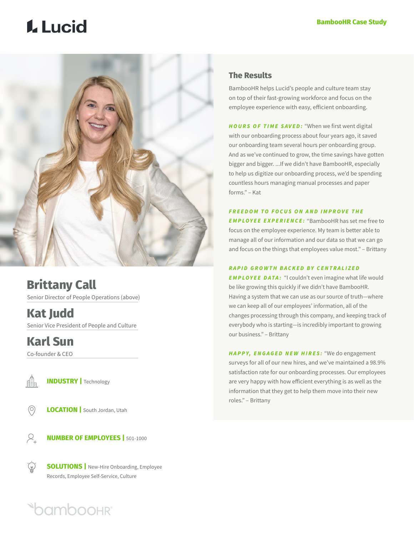# **L** Lucid



**Brittany Call** Senior Director of People Operations (above)

**Kat Judd** Senior Vice President of People and Culture

**Karl Sun**

Co-founder & CEO



**INDUSTRY |** Technology

**LOCATION** | South Jordan, Utah  $\circledcirc$ 



 $\overleftrightarrow{r}$ 

**NUMBER OF EMPLOYEES |** 501-1000

**SOLUTIONS** | New-Hire Onboarding, Employee Records, Employee Self-Service, Culture

## **Oamboohr**

## **The Results**

BambooHR helps Lucid's people and culture team stay on top of their fast-growing workforce and focus on the employee experience with easy, efficient onboarding.

*HOURS OF TIME SAVED:* "When we first went digital with our onboarding process about four years ago, it saved our onboarding team several hours per onboarding group. And as we've continued to grow, the time savings have gotten bigger and bigger. ...If we didn't have BambooHR, especially to help us digitize our onboarding process, we'd be spending countless hours managing manual processes and paper forms." – Kat

## *FREEDOM TO FOCUS ON AND IMPROVE THE*

*EMPLOYEE EXPERIENCE:* "BambooHR has set me free to focus on the employee experience. My team is better able to manage all of our information and our data so that we can go and focus on the things that employees value most." – Brittany

### **RAPID GROWTH BACKED BY CENTRALIZED**

**EMPLOYEE DATA:** "I couldn't even imagine what life would be like growing this quickly if we didn't have BambooHR. Having a system that we can use as our source of truth—where we can keep all of our employees' information, all of the changes processing through this company, and keeping track of everybody who is starting—is incredibly important to growing our business." – Brittany

*HAPPY, ENGAGED NEW HIRES:* "We do engagement surveys for all of our new hires, and we've maintained a 98.9% satisfaction rate for our onboarding processes. Our employees are very happy with how efficient everything is as well as the information that they get to help them move into their new roles." – Brittany